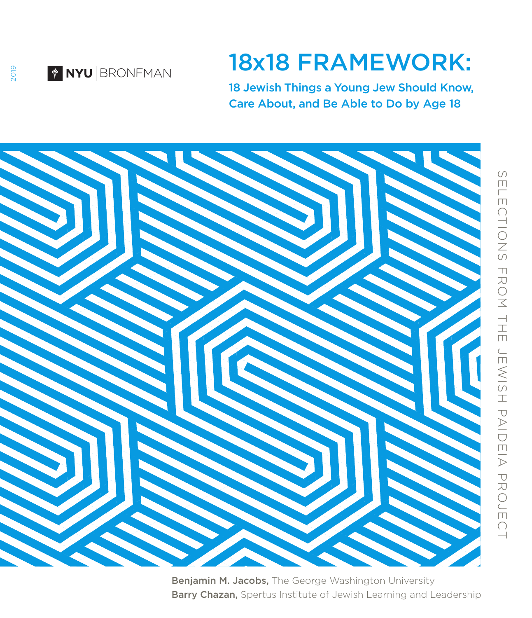

#### 18x18 FRAMEWORK:

18 Jewish Things a Young Jew Should Know, Care About, and Be Able to Do by Age 18



Benjamin M. Jacobs, The George Washington University Barry Chazan, Spertus Institute of Jewish Learning and Leadership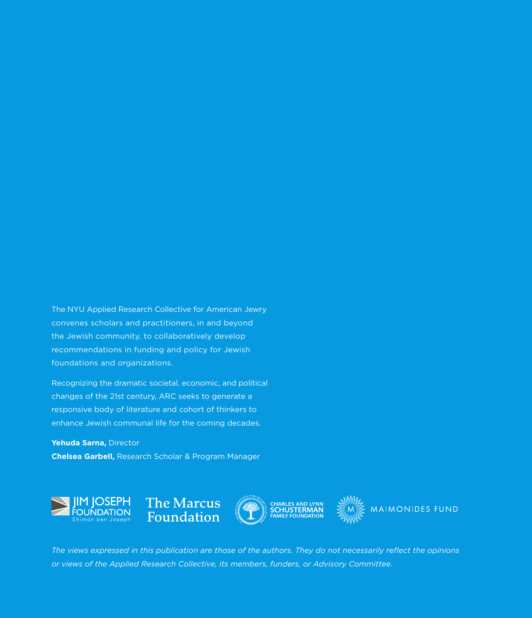The NYU Applied Research Collective for American Jewry convenes scholars and practitioners, in and beyond the Jewish community, to collaboratively develop recommendations in funding and policy for Jewish foundations and organizations.

Recognizing the dramatic societal, economic, and political changes of the 21st century, ARC seeks to generate a responsive body of literature and cohort of thinkers to enhance Jewish communal life for the coming decades.

**Yehuda Sarna,** Director **Chelsea Garbell,** Research Scholar & Program Manager



*The views expressed in this publication are those of the authors. They do not necessarily reflect the opinions or views of the Applied Research Collective, its members, funders, or Advisory Committee.*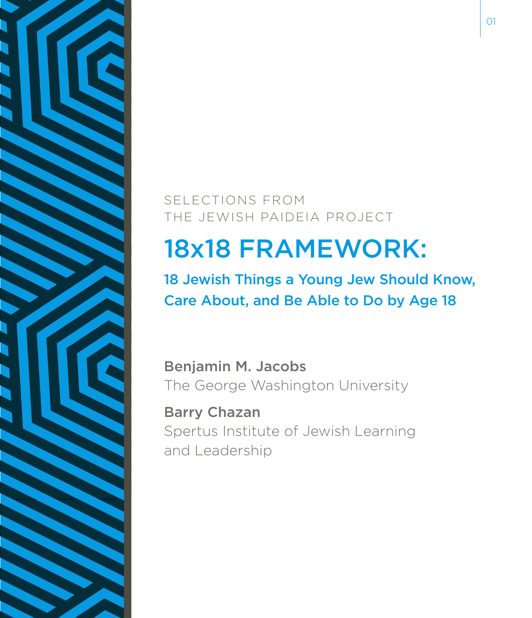

SELECTIONS FROM THE JEWISH PAIDEIA PROJECT

#### 18x18 FRAMEWORK:

18 Jewish Things a Young Jew Should Know, Care About, and Be Able to Do by Age 18

Benjamin M. Jacobs The George Washington University

Barry Chazan Spertus Institute of Jewish Learning and Leadership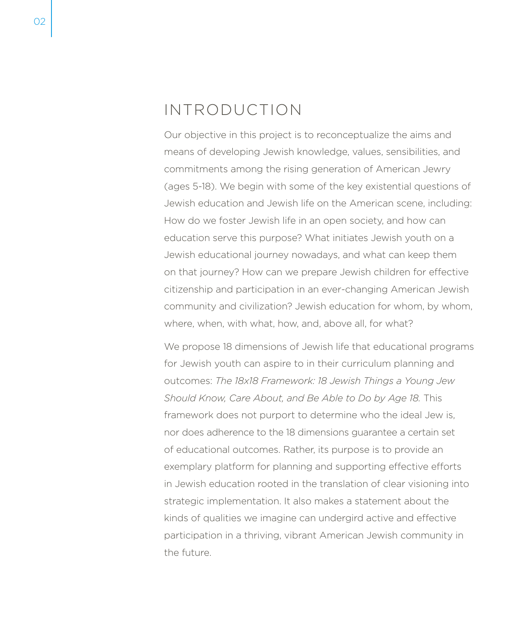#### INTRODUCTION

Our objective in this project is to reconceptualize the aims and means of developing Jewish knowledge, values, sensibilities, and commitments among the rising generation of American Jewry (ages 5-18). We begin with some of the key existential questions of Jewish education and Jewish life on the American scene, including: How do we foster Jewish life in an open society, and how can education serve this purpose? What initiates Jewish youth on a Jewish educational journey nowadays, and what can keep them on that journey? How can we prepare Jewish children for effective citizenship and participation in an ever-changing American Jewish community and civilization? Jewish education for whom, by whom, where, when, with what, how, and, above all, for what?

We propose 18 dimensions of Jewish life that educational programs for Jewish youth can aspire to in their curriculum planning and outcomes: *The 18x18 Framework: 18 Jewish Things a Young Jew Should Know, Care About, and Be Able to Do by Age 18.* This framework does not purport to determine who the ideal Jew is, nor does adherence to the 18 dimensions guarantee a certain set of educational outcomes. Rather, its purpose is to provide an exemplary platform for planning and supporting effective efforts in Jewish education rooted in the translation of clear visioning into strategic implementation. It also makes a statement about the kinds of qualities we imagine can undergird active and effective participation in a thriving, vibrant American Jewish community in the future.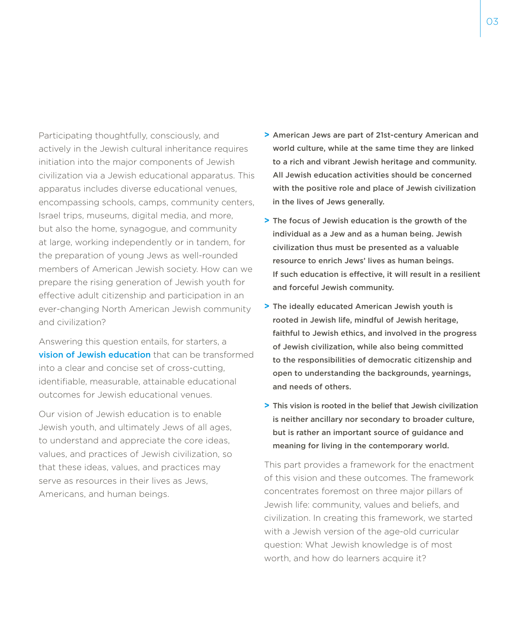Participating thoughtfully, consciously, and actively in the Jewish cultural inheritance requires initiation into the major components of Jewish civilization via a Jewish educational apparatus. This apparatus includes diverse educational venues, encompassing schools, camps, community centers, Israel trips, museums, digital media, and more, but also the home, synagogue, and community at large, working independently or in tandem, for the preparation of young Jews as well-rounded members of American Jewish society. How can we prepare the rising generation of Jewish youth for effective adult citizenship and participation in an ever-changing North American Jewish community and civilization?

Answering this question entails, for starters, a **vision of Jewish education** that can be transformed into a clear and concise set of cross-cutting, identifiable, measurable, attainable educational outcomes for Jewish educational venues.

Our vision of Jewish education is to enable Jewish youth, and ultimately Jews of all ages, to understand and appreciate the core ideas, values, and practices of Jewish civilization, so that these ideas, values, and practices may serve as resources in their lives as Jews, Americans, and human beings.

- **>** American Jews are part of 21st-century American and world culture, while at the same time they are linked to a rich and vibrant Jewish heritage and community. All Jewish education activities should be concerned with the positive role and place of Jewish civilization in the lives of Jews generally.
- **>** The focus of Jewish education is the growth of the individual as a Jew and as a human being. Jewish civilization thus must be presented as a valuable resource to enrich Jews' lives as human beings. If such education is effective, it will result in a resilient and forceful Jewish community.
- **>** The ideally educated American Jewish youth is rooted in Jewish life, mindful of Jewish heritage, faithful to Jewish ethics, and involved in the progress of Jewish civilization, while also being committed to the responsibilities of democratic citizenship and open to understanding the backgrounds, yearnings, and needs of others.
- **>** This vision is rooted in the belief that Jewish civilization is neither ancillary nor secondary to broader culture, but is rather an important source of guidance and meaning for living in the contemporary world.

This part provides a framework for the enactment of this vision and these outcomes. The framework concentrates foremost on three major pillars of Jewish life: community, values and beliefs, and civilization. In creating this framework, we started with a Jewish version of the age-old curricular question: What Jewish knowledge is of most worth, and how do learners acquire it?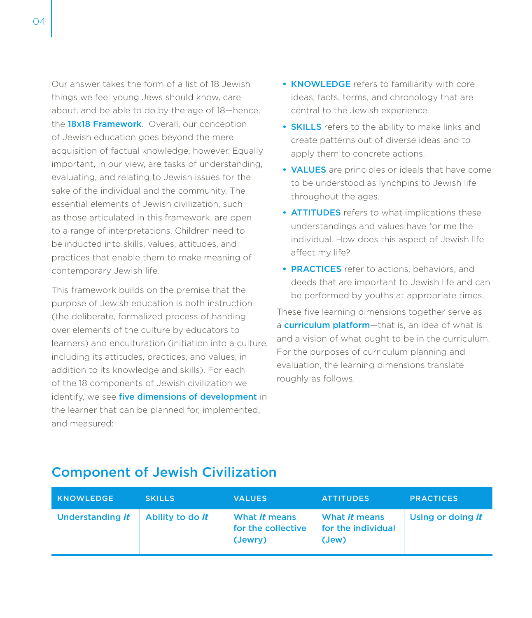Our answer takes the form of a list of 18 Jewish things we feel young Jews should know, care about, and be able to do by the age of 18—hence, the **18x18 Framework**. Overall, our conception of Jewish education goes beyond the mere acquisition of factual knowledge, however. Equally important, in our view, are tasks of understanding, evaluating, and relating to Jewish issues for the sake of the individual and the community. The essential elements of Jewish civilization, such as those articulated in this framework, are open to a range of interpretations. Children need to be inducted into skills, values, attitudes, and practices that enable them to make meaning of contemporary Jewish life.

This framework builds on the premise that the purpose of Jewish education is both instruction (the deliberate, formalized process of handing over elements of the culture by educators to learners) and enculturation (initiation into a culture, including its attitudes, practices, and values, in addition to its knowledge and skills). For each of the 18 components of Jewish civilization we identify, we see five dimensions of development in the learner that can be planned for, implemented, and measured:

- **•** KNOWLEDGE refers to familiarity with core ideas, facts, terms, and chronology that are central to the Jewish experience.
- **•** SKILLS refers to the ability to make links and create patterns out of diverse ideas and to apply them to concrete actions.
- **•** VALUES are principles or ideals that have come to be understood as lynchpins to Jewish life throughout the ages.
- **•** ATTITUDES refers to what implications these understandings and values have for me the individual. How does this aspect of Jewish life affect my life?
- **•** PRACTICES refer to actions, behaviors, and deeds that are important to Jewish life and can be performed by youths at appropriate times.

These five learning dimensions together serve as a **curriculum platform**—that is, an idea of what is and a vision of what ought to be in the curriculum. For the purposes of curriculum planning and evaluation, the learning dimensions translate roughly as follows.

| <b>KNOWLEDGE</b>        | <b>SKILLS</b>           | <b>VALUES</b>                                  | <b>ATTITUDES</b>                             | <b>PRACTICES</b>  |
|-------------------------|-------------------------|------------------------------------------------|----------------------------------------------|-------------------|
| <b>Understanding it</b> | Ability to do <i>it</i> | What it means<br>for the collective<br>(Jewry) | What it means<br>for the individual<br>(Jew) | Using or doing it |

#### Component of Jewish Civilization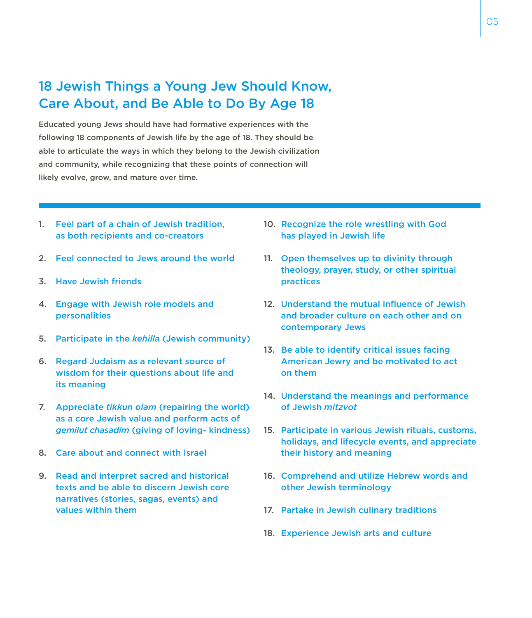#### 18 Jewish Things a Young Jew Should Know, Care About, and Be Able to Do By Age 18

Educated young Jews should have had formative experiences with the following 18 components of Jewish life by the age of 18. They should be able to articulate the ways in which they belong to the Jewish civilization and community, while recognizing that these points of connection will likely evolve, grow, and mature over time.

- 1. Feel part of a chain of Jewish tradition, as both recipients and co-creators
- 2. Feel connected to Jews around the world
- 3. Have Jewish friends
- 4. Engage with Jewish role models and personalities
- 5. Participate in the *kehilla* (Jewish community)
- 6. Regard Judaism as a relevant source of wisdom for their questions about life and its meaning
- 7. Appreciate *tikkun olam* (repairing the world) as a core Jewish value and perform acts of *gemilut chasadim* (giving of loving- kindness)
- 8. Care about and connect with Israel
- 9. Read and interpret sacred and historical texts and be able to discern Jewish core narratives (stories, sagas, events) and values within them
- 10. Recognize the role wrestling with God has played in Jewish life
- 11. Open themselves up to divinity through theology, prayer, study, or other spiritual practices
- 12. Understand the mutual influence of Jewish and broader culture on each other and on contemporary Jews
- 13. Be able to identify critical issues facing American Jewry and be motivated to act on them
- 14. Understand the meanings and performance of Jewish *mitzvot*
- 15. Participate in various Jewish rituals, customs, holidays, and lifecycle events, and appreciate their history and meaning
- 16. Comprehend and utilize Hebrew words and other Jewish terminology
- 17. Partake in Jewish culinary traditions
- 18. Experience Jewish arts and culture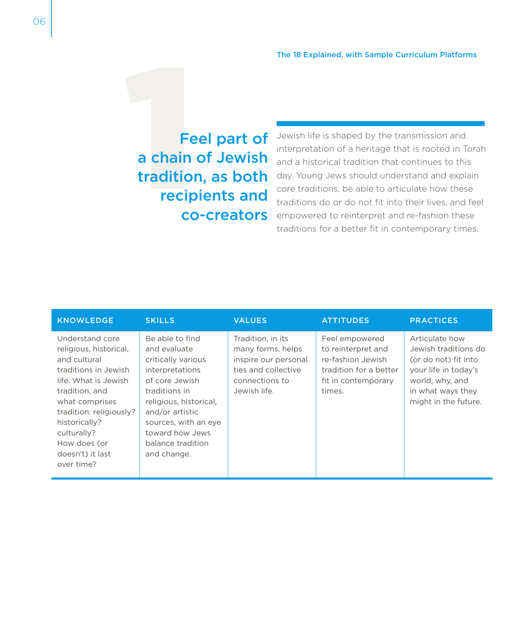#### Feel part of<br>a chain of Jewish<br>tradition, as both<br>recipients and<br>co-creators a chain of Jewish tradition, as both recipients and co-creators

Jewish life is shaped by the transmission and interpretation of a heritage that is rooted in Torah and a historical tradition that continues to this day. Young Jews should understand and explain core traditions, be able to articulate how these traditions do or do not fit into their lives, and feel empowered to reinterpret and re-fashion these traditions for a better fit in contemporary times.

| <b>KNOWLEDGE</b>                                                                                                                                                                                                                                           | <b>SKILLS</b>                                                                                                                                                                                                                           | <b>VALUES</b>                                                                                                           | <b>ATTITUDES</b>                                                                                                     | <b>PRACTICES</b>                                                                                                                                       |
|------------------------------------------------------------------------------------------------------------------------------------------------------------------------------------------------------------------------------------------------------------|-----------------------------------------------------------------------------------------------------------------------------------------------------------------------------------------------------------------------------------------|-------------------------------------------------------------------------------------------------------------------------|----------------------------------------------------------------------------------------------------------------------|--------------------------------------------------------------------------------------------------------------------------------------------------------|
| Understand core<br>religious, historical,<br>and cultural<br>traditions in Jewish<br>life. What is Jewish<br>tradition, and<br>what comprises<br>tradition: religiously?<br>historically?<br>culturally?<br>How does (or<br>doesn't) it last<br>over time? | Be able to find<br>and evaluate<br>critically various<br>interpretations<br>of core Jewish<br>traditions in<br>religious, historical,<br>and/or artistic<br>sources, with an eye<br>toward how Jews<br>balance tradition<br>and change. | Tradition, in its<br>many forms, helps<br>inspire our personal<br>ties and collective<br>connections to<br>Jewish life. | Feel empowered<br>to reinterpret and<br>re-fashion Jewish<br>tradition for a better<br>fit in contemporary<br>times. | Articulate how<br>Jewish traditions do<br>(or do not) fit into<br>your life in today's<br>world, why, and<br>in what ways they<br>might in the future. |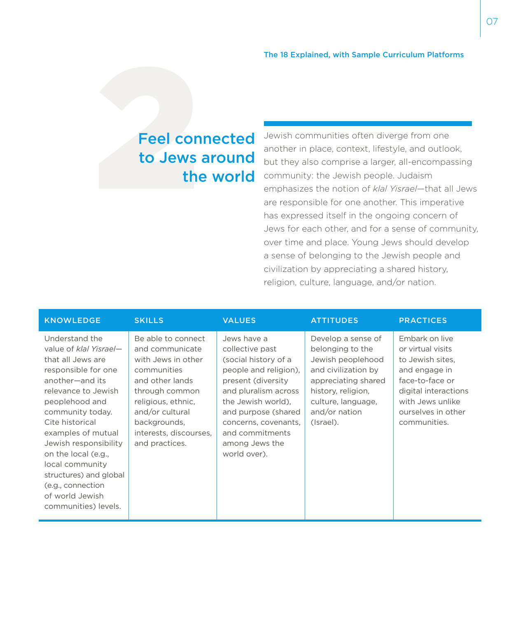## Feel con<br>to Jews<br>the Feel connected to Jews around the world

Jewish communities often diverge from one another in place, context, lifestyle, and outlook, but they also comprise a larger, all-encompassing community: the Jewish people. Judaism emphasizes the notion of *klal Yisrael*—that all Jews are responsible for one another. This imperative has expressed itself in the ongoing concern of Jews for each other, and for a sense of community, over time and place. Young Jews should develop a sense of belonging to the Jewish people and civilization by appreciating a shared history, religion, culture, language, and/or nation.

| <b>KNOWLEDGE</b>                                                                                                                                                                                                                                                                                                                                                           | <b>SKILLS</b>                                                                                                                                                                                                        | <b>VALUES</b>                                                                                                                                                                                                                                           | <b>ATTITUDES</b>                                                                                                                                                                    | <b>PRACTICES</b>                                                                                                                                                              |
|----------------------------------------------------------------------------------------------------------------------------------------------------------------------------------------------------------------------------------------------------------------------------------------------------------------------------------------------------------------------------|----------------------------------------------------------------------------------------------------------------------------------------------------------------------------------------------------------------------|---------------------------------------------------------------------------------------------------------------------------------------------------------------------------------------------------------------------------------------------------------|-------------------------------------------------------------------------------------------------------------------------------------------------------------------------------------|-------------------------------------------------------------------------------------------------------------------------------------------------------------------------------|
| Understand the<br>value of klal Yisrael-<br>that all Jews are<br>responsible for one<br>another-and its<br>relevance to Jewish<br>peoplehood and<br>community today.<br>Cite historical<br>examples of mutual<br>Jewish responsibility<br>on the local (e.g.,<br>local community<br>structures) and global<br>(e.g., connection<br>of world Jewish<br>communities) levels. | Be able to connect<br>and communicate<br>with Jews in other<br>communities<br>and other lands<br>through common<br>religious, ethnic,<br>and/or cultural<br>backgrounds,<br>interests, discourses,<br>and practices. | Jews have a<br>collective past<br>(social history of a<br>people and religion).<br>present (diversity<br>and pluralism across<br>the Jewish world).<br>and purpose (shared<br>concerns, covenants,<br>and commitments<br>among Jews the<br>world over). | Develop a sense of<br>belonging to the<br>Jewish peoplehood<br>and civilization by<br>appreciating shared<br>history, religion,<br>culture, language,<br>and/or nation<br>(Israel). | Embark on live<br>or virtual visits<br>to Jewish sites.<br>and engage in<br>face-to-face or<br>digital interactions<br>with Jews unlike<br>ourselves in other<br>communities. |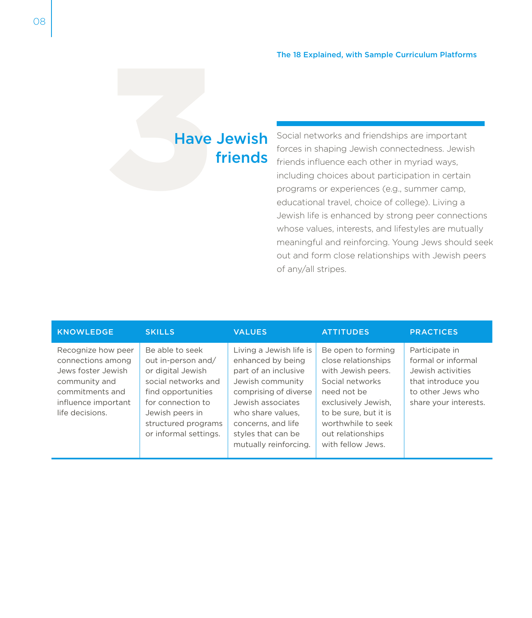# Have Jewish<br>friends friends

Social networks and friendships are important forces in shaping Jewish connectedness. Jewish friends influence each other in myriad ways, including choices about participation in certain programs or experiences (e.g., summer camp, educational travel, choice of college). Living a Jewish life is enhanced by strong peer connections whose values, interests, and lifestyles are mutually meaningful and reinforcing. Young Jews should seek out and form close relationships with Jewish peers of any/all stripes.

| <b>KNOWLEDGE</b>                                                                                                                            | <b>SKILLS</b>                                                                                                                                                                                   | <b>VALUES</b>                                                                                                                                                                                                                    | <b>ATTITUDES</b>                                                                                                                                                                                                  | <b>PRACTICES</b>                                                                                                              |
|---------------------------------------------------------------------------------------------------------------------------------------------|-------------------------------------------------------------------------------------------------------------------------------------------------------------------------------------------------|----------------------------------------------------------------------------------------------------------------------------------------------------------------------------------------------------------------------------------|-------------------------------------------------------------------------------------------------------------------------------------------------------------------------------------------------------------------|-------------------------------------------------------------------------------------------------------------------------------|
| Recognize how peer<br>connections among<br>Jews foster Jewish<br>community and<br>commitments and<br>influence important<br>life decisions. | Be able to seek<br>out in-person and/<br>or digital Jewish<br>social networks and<br>find opportunities<br>for connection to<br>Jewish peers in<br>structured programs<br>or informal settings. | Living a Jewish life is<br>enhanced by being<br>part of an inclusive<br>Jewish community<br>comprising of diverse<br>Jewish associates<br>who share values.<br>concerns, and life<br>styles that can be<br>mutually reinforcing. | Be open to forming<br>close relationships<br>with Jewish peers.<br>Social networks<br>need not be<br>exclusively Jewish,<br>to be sure, but it is<br>worthwhile to seek<br>out relationships<br>with fellow Jews. | Participate in<br>formal or informal<br>Jewish activities<br>that introduce you<br>to other Jews who<br>share your interests. |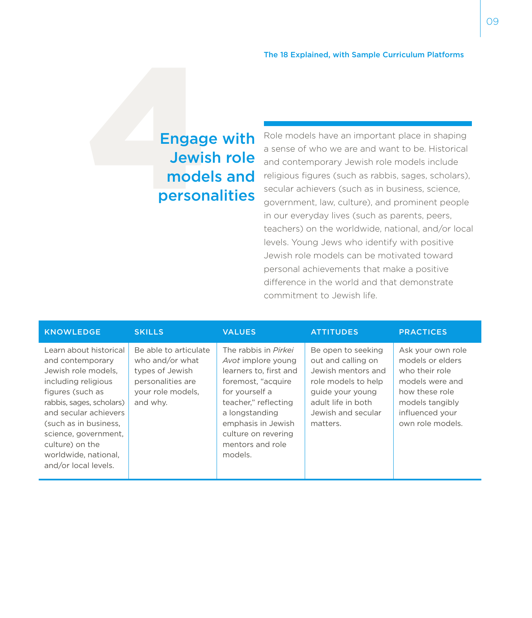## Engage with<br>Jewish role<br>models and<br>personalities Jewish role models and personalities

Role models have an important place in shaping a sense of who we are and want to be. Historical and contemporary Jewish role models include religious figures (such as rabbis, sages, scholars), secular achievers (such as in business, science, government, law, culture), and prominent people in our everyday lives (such as parents, peers, teachers) on the worldwide, national, and/or local levels. Young Jews who identify with positive Jewish role models can be motivated toward personal achievements that make a positive difference in the world and that demonstrate commitment to Jewish life.

| <b>KNOWLEDGE</b>                                                                                                                                                                                                                                                                      | <b>SKILLS</b>                                                                                                     | <b>VALUES</b>                                                                                                                                                                                                                      | <b>ATTITUDES</b>                                                                                                                                                  | <b>PRACTICES</b>                                                                                                                                       |
|---------------------------------------------------------------------------------------------------------------------------------------------------------------------------------------------------------------------------------------------------------------------------------------|-------------------------------------------------------------------------------------------------------------------|------------------------------------------------------------------------------------------------------------------------------------------------------------------------------------------------------------------------------------|-------------------------------------------------------------------------------------------------------------------------------------------------------------------|--------------------------------------------------------------------------------------------------------------------------------------------------------|
| Learn about historical<br>and contemporary<br>Jewish role models.<br>including religious<br>figures (such as<br>rabbis, sages, scholars)<br>and secular achievers<br>(such as in business,<br>science, government,<br>culture) on the<br>worldwide, national,<br>and/or local levels. | Be able to articulate<br>who and/or what<br>types of Jewish<br>personalities are<br>your role models,<br>and why. | The rabbis in Pirkei<br>Avot implore young<br>learners to, first and<br>foremost, "acquire<br>for yourself a<br>teacher," reflecting<br>a longstanding<br>emphasis in Jewish<br>culture on revering<br>mentors and role<br>models. | Be open to seeking<br>out and calling on<br>Jewish mentors and<br>role models to help<br>guide your young<br>adult life in both<br>Jewish and secular<br>matters. | Ask your own role<br>models or elders<br>who their role<br>models were and<br>how these role<br>models tangibly<br>influenced your<br>own role models. |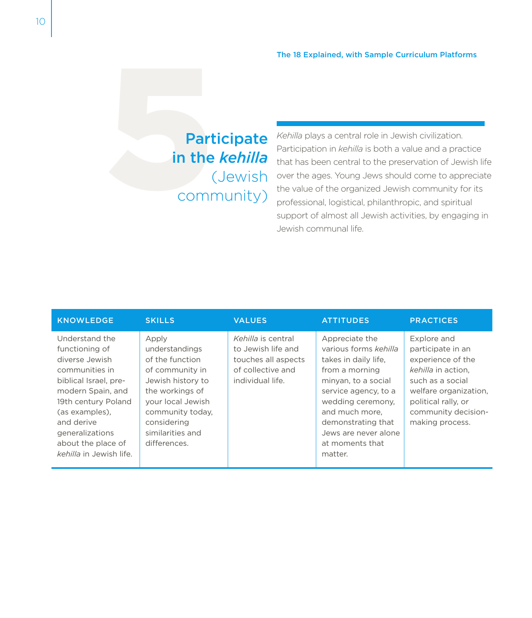## Participate<br>
in the *kehilla*<br>
(Jewish<br>
community) in the *kehilla* (Jewish community)

*Kehilla* plays a central role in Jewish civilization. Participation in *kehilla* is both a value and a practice that has been central to the preservation of Jewish life over the ages. Young Jews should come to appreciate the value of the organized Jewish community for its professional, logistical, philanthropic, and spiritual support of almost all Jewish activities, by engaging in Jewish communal life.

| <b>KNOWLEDGE</b>                                                                                                                                                                                                                              | <b>SKILLS</b>                                                                                                                                                                                     | <b>VALUES</b>                                                                                            | <b>ATTITUDES</b>                                                                                                                                                                                                                                    | <b>PRACTICES</b>                                                                                                                                                                          |
|-----------------------------------------------------------------------------------------------------------------------------------------------------------------------------------------------------------------------------------------------|---------------------------------------------------------------------------------------------------------------------------------------------------------------------------------------------------|----------------------------------------------------------------------------------------------------------|-----------------------------------------------------------------------------------------------------------------------------------------------------------------------------------------------------------------------------------------------------|-------------------------------------------------------------------------------------------------------------------------------------------------------------------------------------------|
| Understand the<br>functioning of<br>diverse Jewish<br>communities in<br>biblical Israel, pre-<br>modern Spain, and<br>19th century Poland<br>(as examples).<br>and derive<br>generalizations<br>about the place of<br>kehilla in Jewish life. | Apply<br>understandings<br>of the function<br>of community in<br>Jewish history to<br>the workings of<br>your local Jewish<br>community today,<br>considering<br>similarities and<br>differences. | Kehilla is central<br>to Jewish life and<br>touches all aspects<br>of collective and<br>individual life. | Appreciate the<br>various forms kehilla<br>takes in daily life,<br>from a morning<br>minyan, to a social<br>service agency, to a<br>wedding ceremony,<br>and much more,<br>demonstrating that<br>Jews are never alone<br>at moments that<br>matter. | Explore and<br>participate in an<br>experience of the<br>kehilla in action.<br>such as a social<br>welfare organization,<br>political rally, or<br>community decision-<br>making process. |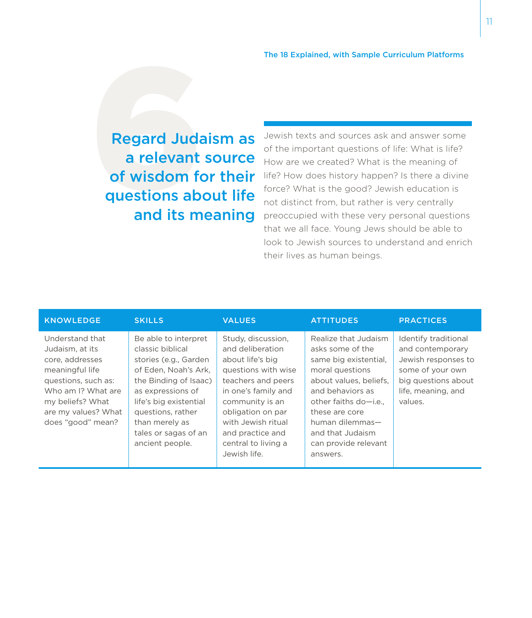Regard Juda<br>
a relevant<br>
of wisdom fo<br>
questions ab<br>
and its m Regard Judaism as a relevant source of wisdom for their questions about life and its meaning

Jewish texts and sources ask and answer some of the important questions of life: What is life? How are we created? What is the meaning of life? How does history happen? Is there a divine force? What is the good? Jewish education is not distinct from, but rather is very centrally preoccupied with these very personal questions that we all face. Young Jews should be able to look to Jewish sources to understand and enrich their lives as human beings.

| <b>KNOWLEDGE</b>                                                                                                                                                                      | <b>SKILLS</b>                                                                                                                                                                                                                                       | <b>VALUES</b>                                                                                                                                                                                                                                           | <b>ATTITUDES</b>                                                                                                                                                                                                                                         | <b>PRACTICES</b>                                                                                                                            |
|---------------------------------------------------------------------------------------------------------------------------------------------------------------------------------------|-----------------------------------------------------------------------------------------------------------------------------------------------------------------------------------------------------------------------------------------------------|---------------------------------------------------------------------------------------------------------------------------------------------------------------------------------------------------------------------------------------------------------|----------------------------------------------------------------------------------------------------------------------------------------------------------------------------------------------------------------------------------------------------------|---------------------------------------------------------------------------------------------------------------------------------------------|
| Understand that<br>Judaism, at its<br>core, addresses<br>meaningful life<br>questions, such as:<br>Who am I? What are<br>my beliefs? What<br>are my values? What<br>does "good" mean? | Be able to interpret<br>classic biblical<br>stories (e.g., Garden<br>of Eden. Noah's Ark.<br>the Binding of Isaac)<br>as expressions of<br>life's big existential<br>questions, rather<br>than merely as<br>tales or sagas of an<br>ancient people. | Study, discussion,<br>and deliberation<br>about life's big<br>questions with wise<br>teachers and peers<br>in one's family and<br>community is an<br>obligation on par<br>with Jewish ritual<br>and practice and<br>central to living a<br>Jewish life. | Realize that Judaism<br>asks some of the<br>same big existential.<br>moral questions<br>about values, beliefs,<br>and behaviors as<br>other faiths do-i.e.,<br>these are core<br>human dilemmas-<br>and that Judaism<br>can provide relevant<br>answers. | Identify traditional<br>and contemporary<br>Jewish responses to<br>some of your own<br>big questions about<br>life, meaning, and<br>values. |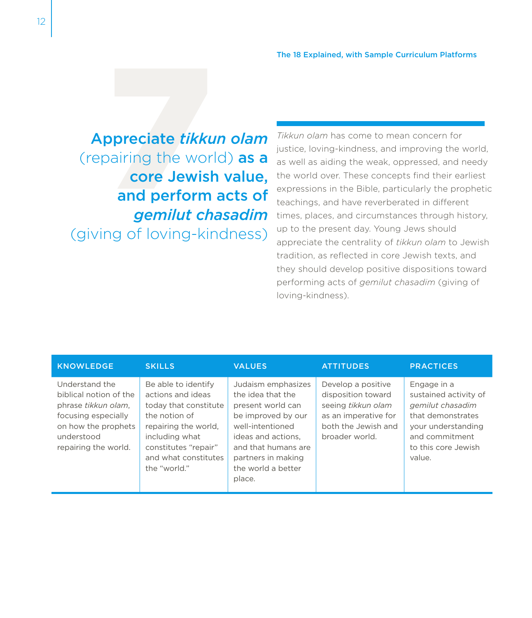Appreciate *tikkun olam*<br> **Appreciate** *tikkun olam*<br> **Core Jewish value,<br>
and perform acts of<br>** *gemilut chasadim* (repairing the world) as a core Jewish value, and perform acts of *gemilut chasadim*  (giving of loving-kindness)

*Tikkun olam* has come to mean concern for justice, loving-kindness, and improving the world, as well as aiding the weak, oppressed, and needy the world over. These concepts find their earliest expressions in the Bible, particularly the prophetic teachings, and have reverberated in different times, places, and circumstances through history, up to the present day. Young Jews should appreciate the centrality of *tikkun olam* to Jewish tradition, as reflected in core Jewish texts, and they should develop positive dispositions toward performing acts of *gemilut chasadim* (giving of loving-kindness).

| <b>KNOWLEDGE</b>                                                                                                                                    | <b>SKILLS</b>                                                                                                                                                                                | <b>VALUES</b>                                                                                                                                                                                             | <b>ATTITUDES</b>                                                                                                                | <b>PRACTICES</b>                                                                                                                                       |
|-----------------------------------------------------------------------------------------------------------------------------------------------------|----------------------------------------------------------------------------------------------------------------------------------------------------------------------------------------------|-----------------------------------------------------------------------------------------------------------------------------------------------------------------------------------------------------------|---------------------------------------------------------------------------------------------------------------------------------|--------------------------------------------------------------------------------------------------------------------------------------------------------|
| Understand the<br>biblical notion of the<br>phrase tikkun olam.<br>focusing especially<br>on how the prophets<br>understood<br>repairing the world. | Be able to identify<br>actions and ideas<br>today that constitute<br>the notion of<br>repairing the world,<br>including what<br>constitutes "repair"<br>and what constitutes<br>the "world." | Judaism emphasizes<br>the idea that the<br>present world can<br>be improved by our<br>well-intentioned<br>ideas and actions.<br>and that humans are<br>partners in making<br>the world a better<br>place. | Develop a positive<br>disposition toward<br>seeing tikkun olam<br>as an imperative for<br>both the Jewish and<br>broader world. | Engage in a<br>sustained activity of<br>gemilut chasadim<br>that demonstrates<br>your understanding<br>and commitment<br>to this core Jewish<br>value. |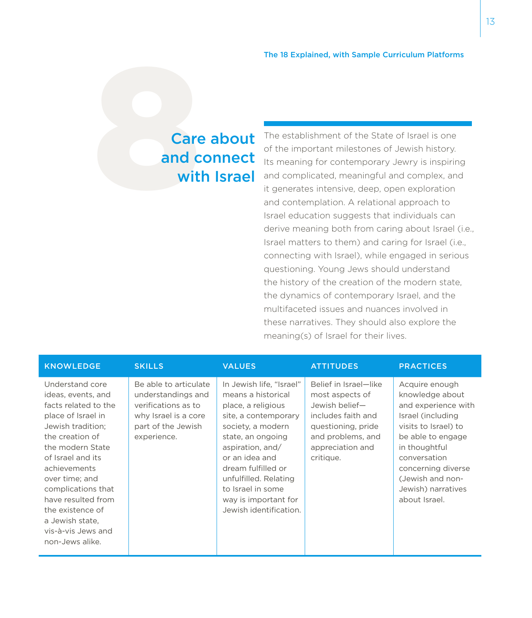# Care about<br>and connect<br>with Israel and connect with Israel

The establishment of the State of Israel is one of the important milestones of Jewish history. Its meaning for contemporary Jewry is inspiring and complicated, meaningful and complex, and it generates intensive, deep, open exploration and contemplation. A relational approach to Israel education suggests that individuals can derive meaning both from caring about Israel (i.e., Israel matters to them) and caring for Israel (i.e., connecting with Israel), while engaged in serious questioning. Young Jews should understand the history of the creation of the modern state, the dynamics of contemporary Israel, and the multifaceted issues and nuances involved in these narratives. They should also explore the meaning(s) of Israel for their lives.

| <b>KNOWLEDGE</b>                                                                                                                                                                                                                                                                                                                   | <b>SKILLS</b>                                                                                                                   | <b>VALUES</b>                                                                                                                                                                                                                                                                                      | <b>ATTITUDES</b>                                                                                                                                             | <b>PRACTICES</b>                                                                                                                                                                                                                             |
|------------------------------------------------------------------------------------------------------------------------------------------------------------------------------------------------------------------------------------------------------------------------------------------------------------------------------------|---------------------------------------------------------------------------------------------------------------------------------|----------------------------------------------------------------------------------------------------------------------------------------------------------------------------------------------------------------------------------------------------------------------------------------------------|--------------------------------------------------------------------------------------------------------------------------------------------------------------|----------------------------------------------------------------------------------------------------------------------------------------------------------------------------------------------------------------------------------------------|
| Understand core<br>ideas, events, and<br>facts related to the<br>place of Israel in<br>Jewish tradition:<br>the creation of<br>the modern State<br>of Israel and its<br>achievements<br>over time; and<br>complications that<br>have resulted from<br>the existence of<br>a Jewish state,<br>vis-à-vis Jews and<br>non-Jews alike. | Be able to articulate<br>understandings and<br>verifications as to<br>why Israel is a core<br>part of the Jewish<br>experience. | In Jewish life, "Israel"<br>means a historical<br>place, a religious<br>site, a contemporary<br>society, a modern<br>state, an ongoing<br>aspiration, and/<br>or an idea and<br>dream fulfilled or<br>unfulfilled. Relating<br>to Israel in some<br>way is important for<br>Jewish identification. | Belief in Israel-like<br>most aspects of<br>Jewish belief-<br>includes faith and<br>questioning, pride<br>and problems, and<br>appreciation and<br>critique. | Acquire enough<br>knowledge about<br>and experience with<br>Israel (including<br>visits to Israel) to<br>be able to engage<br>in thoughtful<br>conversation<br>concerning diverse<br>(Jewish and non-<br>Jewish) narratives<br>about Israel. |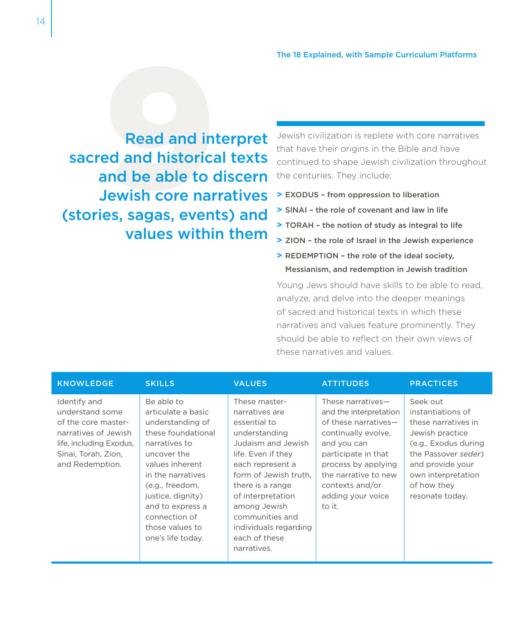**Read and inf**<br>ed and historica<br>and be able to d<br>Jewish core nar<br>es, sagas, event Read and interpret sacred and historical texts and be able to discern Jewish core narratives (stories, sagas, events) and values within them

Jewish civilization is replete with core narratives that have their origins in the Bible and have continued to shape Jewish civilization throughout the centuries. They include:

- **>** EXODUS from oppression to liberation
- **>** SINAI the role of covenant and law in life
- **>** TORAH the notion of study as integral to life
- **>** ZION the role of Israel in the Jewish experience
- **>** REDEMPTION the role of the ideal society, Messianism, and redemption in Jewish tradition

Young Jews should have skills to be able to read, analyze, and delve into the deeper meanings of sacred and historical texts in which these narratives and values feature prominently. They should be able to reflect on their own views of these narratives and values.

| <b>KNOWLEDGE</b>                                                                                                                                    | <b>SKILLS</b>                                                                                                                                                                                                                                                           | <b>VALUES</b>                                                                                                                                                                                                                                                                                  | <b>ATTITUDES</b>                                                                                                                                                                                                                  | <b>PRACTICES</b>                                                                                                                                                                                   |
|-----------------------------------------------------------------------------------------------------------------------------------------------------|-------------------------------------------------------------------------------------------------------------------------------------------------------------------------------------------------------------------------------------------------------------------------|------------------------------------------------------------------------------------------------------------------------------------------------------------------------------------------------------------------------------------------------------------------------------------------------|-----------------------------------------------------------------------------------------------------------------------------------------------------------------------------------------------------------------------------------|----------------------------------------------------------------------------------------------------------------------------------------------------------------------------------------------------|
| Identify and<br>understand some<br>of the core master-<br>narratives of Jewish<br>life, including Exodus,<br>Sinai, Torah, Zion,<br>and Redemption. | Be able to<br>articulate a basic<br>understanding of<br>these foundational<br>narratives to<br>uncover the<br>values inherent<br>in the narratives<br>(e.g., freedom,<br>justice, dignity)<br>and to express a<br>connection of<br>those values to<br>one's life today. | These master-<br>narratives are<br>essential to<br>understanding<br>Judaism and Jewish<br>life. Even if they<br>each represent a<br>form of Jewish truth.<br>there is a range<br>of interpretation<br>among Jewish<br>communities and<br>individuals regarding<br>each of these<br>narratives. | These narratives-<br>and the interpretation<br>of these narratives-<br>continually evolve,<br>and you can<br>participate in that<br>process by applying<br>the narrative to new<br>contexts and/or<br>adding your voice<br>to it. | Seek out<br>instantiations of<br>these narratives in<br>Jewish practice<br>(e.g., Exodus during<br>the Passover seder)<br>and provide your<br>own interpretation<br>of how they<br>resonate today. |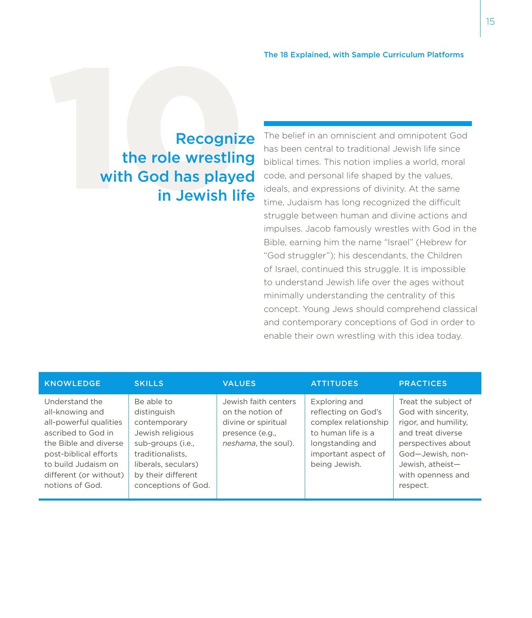## Recognize<br>the role wrestling<br>with God has played<br>in Jewish life the role wrestling with God has played in Jewish life

The belief in an omniscient and omnipotent God has been central to traditional Jewish life since biblical times. This notion implies a world, moral code, and personal life shaped by the values, ideals, and expressions of divinity. At the same time, Judaism has long recognized the difficult struggle between human and divine actions and impulses. Jacob famously wrestles with God in the Bible, earning him the name "Israel" (Hebrew for "God struggler"); his descendants, the Children of Israel, continued this struggle. It is impossible to understand Jewish life over the ages without minimally understanding the centrality of this concept. Young Jews should comprehend classical and contemporary conceptions of God in order to enable their own wrestling with this idea today.

| <b>KNOWLEDGE</b>                                                                                                                                                                                        | <b>SKILLS</b>                                                                                                                                                              | <b>VALUES</b>                                                                                             | <b>ATTITUDES</b>                                                                                                                               | <b>PRACTICES</b>                                                                                                                                                                        |
|---------------------------------------------------------------------------------------------------------------------------------------------------------------------------------------------------------|----------------------------------------------------------------------------------------------------------------------------------------------------------------------------|-----------------------------------------------------------------------------------------------------------|------------------------------------------------------------------------------------------------------------------------------------------------|-----------------------------------------------------------------------------------------------------------------------------------------------------------------------------------------|
| Understand the<br>all-knowing and<br>all-powerful qualities<br>ascribed to God in<br>the Bible and diverse<br>post-biblical efforts<br>to build Judaism on<br>different (or without)<br>notions of God. | Be able to<br>distinguish<br>contemporary<br>Jewish religious<br>sub-groups (i.e.,<br>traditionalists.<br>liberals, seculars)<br>by their different<br>conceptions of God. | Jewish faith centers<br>on the notion of<br>divine or spiritual<br>presence (e.g.,<br>neshama, the soul). | Exploring and<br>reflecting on God's<br>complex relationship<br>to human life is a<br>longstanding and<br>important aspect of<br>being Jewish. | Treat the subject of<br>God with sincerity,<br>rigor, and humility,<br>and treat diverse<br>perspectives about<br>God-Jewish, non-<br>Jewish, atheist-<br>with openness and<br>respect. |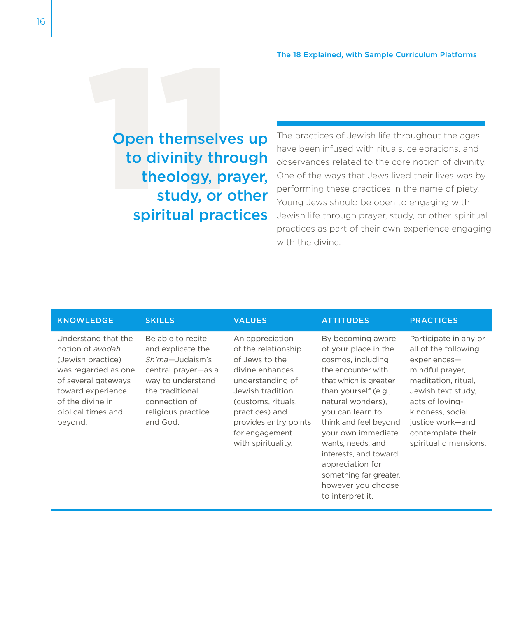Open themselves up<br>to divinity through<br>theology, prayer,<br>study, or other<br>spiritual practices to divinity through theology, prayer, study, or other spiritual practices

The practices of Jewish life throughout the ages have been infused with rituals, celebrations, and observances related to the core notion of divinity. One of the ways that Jews lived their lives was by performing these practices in the name of piety. Young Jews should be open to engaging with Jewish life through prayer, study, or other spiritual practices as part of their own experience engaging with the divine.

| <b>KNOWLEDGE</b>                                                                                                                                                                     | <b>SKILLS</b>                                                                                                                                                               | <b>VALUES</b>                                                                                                                                                                                                                | <b>ATTITUDES</b>                                                                                                                                                                                                                                                                                                                                                    | <b>PRACTICES</b>                                                                                                                                                                                                                       |
|--------------------------------------------------------------------------------------------------------------------------------------------------------------------------------------|-----------------------------------------------------------------------------------------------------------------------------------------------------------------------------|------------------------------------------------------------------------------------------------------------------------------------------------------------------------------------------------------------------------------|---------------------------------------------------------------------------------------------------------------------------------------------------------------------------------------------------------------------------------------------------------------------------------------------------------------------------------------------------------------------|----------------------------------------------------------------------------------------------------------------------------------------------------------------------------------------------------------------------------------------|
| Understand that the<br>notion of avodah<br>(Jewish practice)<br>was regarded as one<br>of several gateways<br>toward experience<br>of the divine in<br>biblical times and<br>beyond. | Be able to recite<br>and explicate the<br>Sh'ma-Judaism's<br>central prayer-as a<br>way to understand<br>the traditional<br>connection of<br>religious practice<br>and God. | An appreciation<br>of the relationship<br>of Jews to the<br>divine enhances<br>understanding of<br>Jewish tradition<br>(customs, rituals,<br>practices) and<br>provides entry points<br>for engagement<br>with spirituality. | By becoming aware<br>of your place in the<br>cosmos, including<br>the encounter with<br>that which is greater<br>than yourself (e.g.,<br>natural wonders).<br>you can learn to<br>think and feel beyond<br>your own immediate<br>wants, needs, and<br>interests, and toward<br>appreciation for<br>something far greater,<br>however you choose<br>to interpret it. | Participate in any or<br>all of the following<br>experiences-<br>mindful prayer,<br>meditation, ritual,<br>Jewish text study.<br>acts of loving-<br>kindness, social<br>justice work-and<br>contemplate their<br>spiritual dimensions. |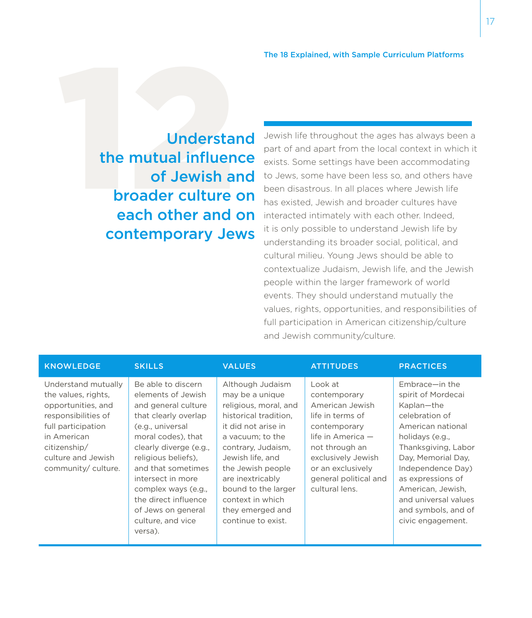Understand<br>the mutual influence<br>of Jewish and<br>broader culture on<br>each other and on the mutual influence of Jewish and broader culture on each other and on contemporary Jews

Jewish life throughout the ages has always been a part of and apart from the local context in which it exists. Some settings have been accommodating to Jews, some have been less so, and others have been disastrous. In all places where Jewish life has existed, Jewish and broader cultures have interacted intimately with each other. Indeed, it is only possible to understand Jewish life by understanding its broader social, political, and cultural milieu. Young Jews should be able to contextualize Judaism, Jewish life, and the Jewish people within the larger framework of world events. They should understand mutually the values, rights, opportunities, and responsibilities of full participation in American citizenship/culture and Jewish community/culture.

| <b>KNOWLEDGE</b>                                                                                                                                                                         | <b>SKILLS</b>                                                                                                                                                                                                                                                                                                                      | <b>VALUES</b>                                                                                                                                                                                                                                                                                            | <b>ATTITUDES</b>                                                                                                                                                                                              | <b>PRACTICES</b>                                                                                                                                                                                                                                                                             |
|------------------------------------------------------------------------------------------------------------------------------------------------------------------------------------------|------------------------------------------------------------------------------------------------------------------------------------------------------------------------------------------------------------------------------------------------------------------------------------------------------------------------------------|----------------------------------------------------------------------------------------------------------------------------------------------------------------------------------------------------------------------------------------------------------------------------------------------------------|---------------------------------------------------------------------------------------------------------------------------------------------------------------------------------------------------------------|----------------------------------------------------------------------------------------------------------------------------------------------------------------------------------------------------------------------------------------------------------------------------------------------|
| Understand mutually<br>the values, rights,<br>opportunities, and<br>responsibilities of<br>full participation<br>in American<br>citizenship/<br>culture and Jewish<br>community/culture. | Be able to discern<br>elements of Jewish<br>and general culture<br>that clearly overlap<br>(e.g., universal<br>moral codes), that<br>clearly diverge (e.g.,<br>religious beliefs),<br>and that sometimes<br>intersect in more<br>complex ways (e.g.,<br>the direct influence<br>of Jews on general<br>culture, and vice<br>versa). | Although Judaism<br>may be a unique<br>religious, moral, and<br>historical tradition.<br>it did not arise in<br>a vacuum: to the<br>contrary, Judaism,<br>Jewish life, and<br>the Jewish people<br>are inextricably<br>bound to the larger<br>context in which<br>they emerged and<br>continue to exist. | Look at<br>contemporary<br>American Jewish<br>life in terms of<br>contemporary<br>life in America $-$<br>not through an<br>exclusively Jewish<br>or an exclusively<br>general political and<br>cultural lens. | Embrace-in the<br>spirit of Mordecai<br>Kaplan-the<br>celebration of<br>American national<br>holidays (e.g.,<br>Thanksgiving, Labor<br>Day, Memorial Day,<br>Independence Day)<br>as expressions of<br>American, Jewish,<br>and universal values<br>and symbols, and of<br>civic engagement. |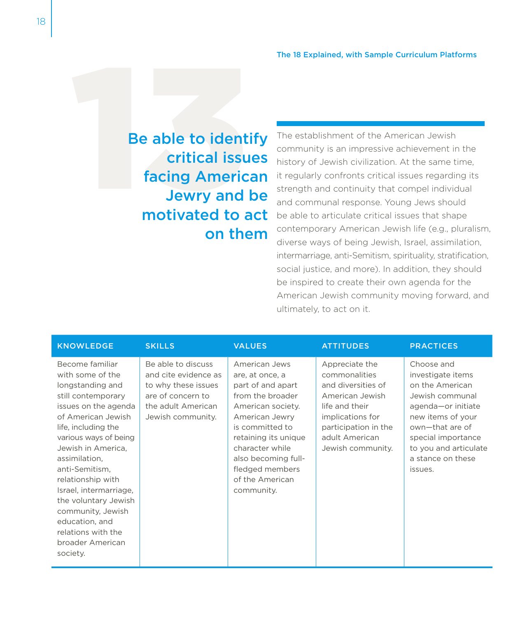Be able to identify<br>
critical issues<br>
facing American<br>
Jewry and be<br>
motivated to act critical issues facing American Jewry and be motivated to act on them

The establishment of the American Jewish community is an impressive achievement in the history of Jewish civilization. At the same time, it regularly confronts critical issues regarding its strength and continuity that compel individual and communal response. Young Jews should be able to articulate critical issues that shape contemporary American Jewish life (e.g., pluralism, diverse ways of being Jewish, Israel, assimilation, intermarriage, anti-Semitism, spirituality, stratification, social justice, and more). In addition, they should be inspired to create their own agenda for the American Jewish community moving forward, and ultimately, to act on it.

| <b>KNOWLEDGE</b>                                                                                                                                                                                                                                                                                                                                                                                         | <b>SKILLS</b>                                                                                                                     | <b>VALUES</b>                                                                                                                                                                                                                                             | <b>ATTITUDES</b>                                                                                                                                                              | <b>PRACTICES</b>                                                                                                                                                                                                   |
|----------------------------------------------------------------------------------------------------------------------------------------------------------------------------------------------------------------------------------------------------------------------------------------------------------------------------------------------------------------------------------------------------------|-----------------------------------------------------------------------------------------------------------------------------------|-----------------------------------------------------------------------------------------------------------------------------------------------------------------------------------------------------------------------------------------------------------|-------------------------------------------------------------------------------------------------------------------------------------------------------------------------------|--------------------------------------------------------------------------------------------------------------------------------------------------------------------------------------------------------------------|
| Become familiar<br>with some of the<br>longstanding and<br>still contemporary<br>issues on the agenda<br>of American Jewish<br>life, including the<br>various ways of being<br>Jewish in America,<br>assimilation,<br>anti-Semitism,<br>relationship with<br>Israel, intermarriage,<br>the voluntary Jewish<br>community, Jewish<br>education, and<br>relations with the<br>broader American<br>society. | Be able to discuss<br>and cite evidence as<br>to why these issues<br>are of concern to<br>the adult American<br>Jewish community. | American Jews<br>are, at once, a<br>part of and apart<br>from the broader<br>American society.<br>American Jewry<br>is committed to<br>retaining its unique<br>character while<br>also becoming full-<br>fledged members<br>of the American<br>community. | Appreciate the<br>commonalities<br>and diversities of<br>American Jewish<br>life and their<br>implications for<br>participation in the<br>adult American<br>Jewish community. | Choose and<br>investigate items<br>on the American<br>Jewish communal<br>agenda-or initiate<br>new items of your<br>own-that are of<br>special importance<br>to you and articulate<br>a stance on these<br>issues. |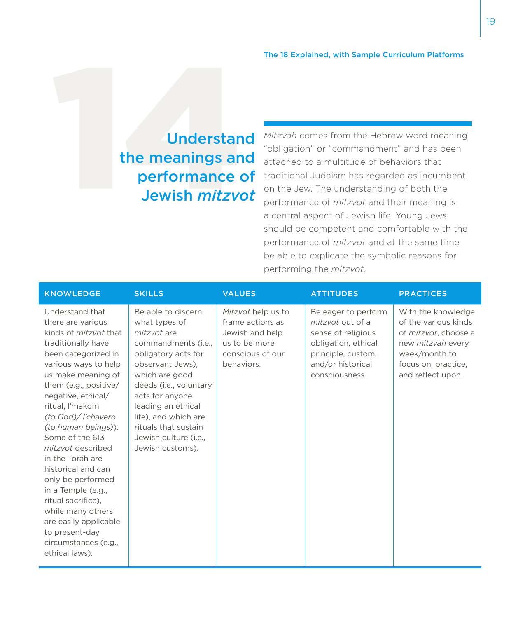## Understand<br>the meanings and<br>performance of<br>Jewish *mitzvot* the meanings and performance of Jewish *mitzvot*

*Mitzvah* comes from the Hebrew word meaning "obligation" or "commandment" and has been attached to a multitude of behaviors that traditional Judaism has regarded as incumbent on the Jew. The understanding of both the performance of *mitzvot* and their meaning is a central aspect of Jewish life. Young Jews should be competent and comfortable with the performance of *mitzvot* and at the same time be able to explicate the symbolic reasons for performing the *mitzvot*.

| <b>KNOWLEDGE</b>                                                                                                                                                                                                                                                                                                                                                                                                                                                                                                                             | <b>SKILLS</b>                                                                                                                                                                                                                                                                                          | <b>VALUES</b>                                                                                                | <b>ATTITUDES</b>                                                                                                                                  | <b>PRACTICES</b>                                                                                                                                            |
|----------------------------------------------------------------------------------------------------------------------------------------------------------------------------------------------------------------------------------------------------------------------------------------------------------------------------------------------------------------------------------------------------------------------------------------------------------------------------------------------------------------------------------------------|--------------------------------------------------------------------------------------------------------------------------------------------------------------------------------------------------------------------------------------------------------------------------------------------------------|--------------------------------------------------------------------------------------------------------------|---------------------------------------------------------------------------------------------------------------------------------------------------|-------------------------------------------------------------------------------------------------------------------------------------------------------------|
| Understand that<br>there are various<br>kinds of <i>mitzvot</i> that<br>traditionally have<br>been categorized in<br>various ways to help<br>us make meaning of<br>them (e.g., positive/<br>negative, ethical/<br>ritual, l'makom<br>(to God)/ l'chavero<br>(to human beings)).<br>Some of the 613<br>mitzvot described<br>in the Torah are<br>historical and can<br>only be performed<br>in a Temple (e.g.,<br>ritual sacrifice).<br>while many others<br>are easily applicable<br>to present-day<br>circumstances (e.g.,<br>ethical laws). | Be able to discern<br>what types of<br>mitzvot are<br>commandments (i.e.,<br>obligatory acts for<br>observant Jews),<br>which are good<br>deeds (i.e., voluntary<br>acts for anyone<br>leading an ethical<br>life), and which are<br>rituals that sustain<br>Jewish culture (i.e.,<br>Jewish customs). | Mitzvot help us to<br>frame actions as<br>Jewish and help<br>us to be more<br>conscious of our<br>behaviors. | Be eager to perform<br>mitzvot out of a<br>sense of religious<br>obligation, ethical<br>principle, custom,<br>and/or historical<br>consciousness. | With the knowledge<br>of the various kinds<br>of mitzvot, choose a<br>new <i>mitzvah</i> every<br>week/month to<br>focus on, practice,<br>and reflect upon. |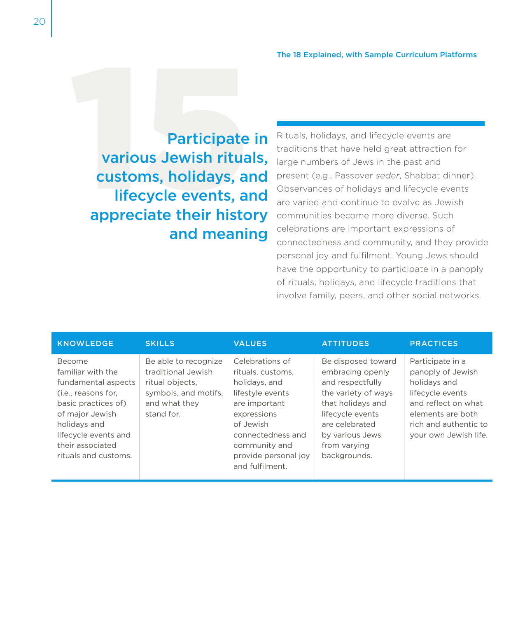Participate in<br>
various Jewish rituals,<br>
customs, holidays, and<br>
lifecycle events, and<br>
appreciate their history various Jewish rituals, customs, holidays, and lifecycle events, and appreciate their history and meaning

Rituals, holidays, and lifecycle events are traditions that have held great attraction for large numbers of Jews in the past and present (e.g., Passover *seder*, Shabbat dinner). Observances of holidays and lifecycle events are varied and continue to evolve as Jewish communities become more diverse. Such celebrations are important expressions of connectedness and community, and they provide personal joy and fulfilment. Young Jews should have the opportunity to participate in a panoply of rituals, holidays, and lifecycle traditions that involve family, peers, and other social networks.

| <b>KNOWLEDGE</b>                                                                                                                                                                                        | <b>SKILLS</b>                                                                                                        | <b>VALUES</b>                                                                                                                                                                                           | <b>ATTITUDES</b>                                                                                                                                                                                | <b>PRACTICES</b>                                                                                                                                                        |
|---------------------------------------------------------------------------------------------------------------------------------------------------------------------------------------------------------|----------------------------------------------------------------------------------------------------------------------|---------------------------------------------------------------------------------------------------------------------------------------------------------------------------------------------------------|-------------------------------------------------------------------------------------------------------------------------------------------------------------------------------------------------|-------------------------------------------------------------------------------------------------------------------------------------------------------------------------|
| Become<br>familiar with the<br>fundamental aspects<br>(i.e., reasons for,<br>basic practices of)<br>of major Jewish<br>holidays and<br>lifecycle events and<br>their associated<br>rituals and customs. | Be able to recognize<br>traditional Jewish<br>ritual objects,<br>symbols, and motifs,<br>and what they<br>stand for. | Celebrations of<br>rituals, customs,<br>holidays, and<br>lifestyle events<br>are important<br>expressions<br>of Jewish<br>connectedness and<br>community and<br>provide personal joy<br>and fulfilment. | Be disposed toward<br>embracing openly<br>and respectfully<br>the variety of ways<br>that holidays and<br>lifecycle events<br>are celebrated<br>by various Jews<br>from varying<br>backgrounds. | Participate in a<br>panoply of Jewish<br>holidays and<br>lifecycle events<br>and reflect on what<br>elements are both<br>rich and authentic to<br>your own Jewish life. |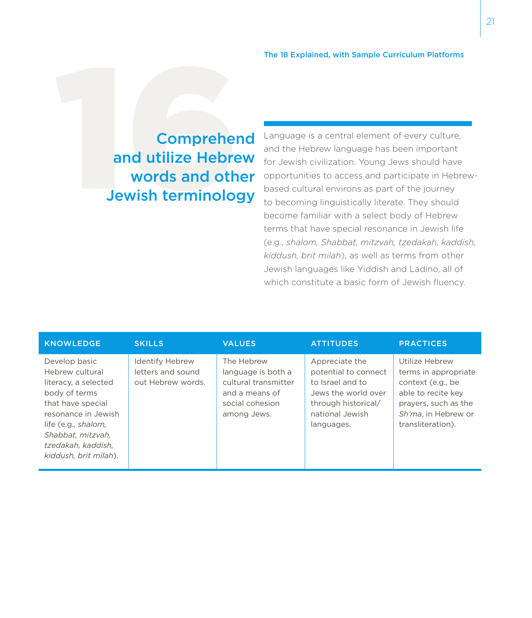## Comprehend<br>
and utilize Hebrew<br>
words and other<br>
Jewish terminology and utilize Hebrew words and other Jewish terminology

Language is a central element of every culture, and the Hebrew language has been important for Jewish civilization. Young Jews should have opportunities to access and participate in Hebrewbased cultural environs as part of the journey to becoming linguistically literate. They should become familiar with a select body of Hebrew terms that have special resonance in Jewish life (e.g., *shalom, Shabbat, mitzvah, tzedakah, kaddish, kiddush, brit milah*), as well as terms from other Jewish languages like Yiddish and Ladino, all of which constitute a basic form of Jewish fluency.

| <b>KNOWLEDGE</b>                                                                                                                                                                                                 | <b>SKILLS</b>                                                    | <b>VALUES</b>                                                                                                | <b>ATTITUDES</b>                                                                                                                          | <b>PRACTICES</b>                                                                                                                                      |
|------------------------------------------------------------------------------------------------------------------------------------------------------------------------------------------------------------------|------------------------------------------------------------------|--------------------------------------------------------------------------------------------------------------|-------------------------------------------------------------------------------------------------------------------------------------------|-------------------------------------------------------------------------------------------------------------------------------------------------------|
| Develop basic<br>Hebrew cultural<br>literacy, a selected<br>body of terms<br>that have special<br>resonance in Jewish<br>life (e.g., shalom,<br>Shabbat, mitzvah,<br>tzedakah, kaddish,<br>kiddush, brit milah). | <b>Identify Hebrew</b><br>letters and sound<br>out Hebrew words. | The Hebrew<br>language is both a<br>cultural transmitter<br>and a means of<br>social cohesion<br>among Jews. | Appreciate the<br>potential to connect<br>to Israel and to<br>Jews the world over<br>through historical/<br>national Jewish<br>languages. | Utilize Hebrew<br>terms in appropriate<br>context (e.g., be<br>able to recite key<br>prayers, such as the<br>Sh'ma, in Hebrew or<br>transliteration). |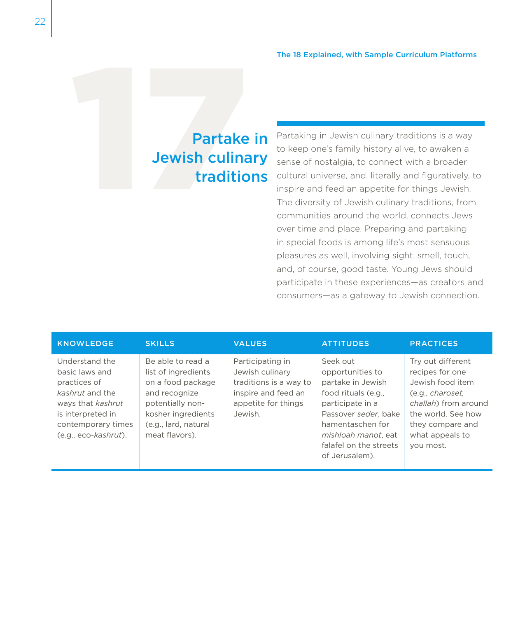# Partake in<br>Jewish culinary<br>traditions Jewish culinary traditions

Partaking in Jewish culinary traditions is a way to keep one's family history alive, to awaken a sense of nostalgia, to connect with a broader cultural universe, and, literally and figuratively, to inspire and feed an appetite for things Jewish. The diversity of Jewish culinary traditions, from communities around the world, connects Jews over time and place. Preparing and partaking in special foods is among life's most sensuous pleasures as well, involving sight, smell, touch, and, of course, good taste. Young Jews should participate in these experiences—as creators and consumers—as a gateway to Jewish connection.

| <b>KNOWLEDGE</b>                                                                                                                                            | <b>SKILLS</b>                                                                                                                                                      | <b>VALUES</b>                                                                                                          | <b>ATTITUDES</b>                                                                                                                                                                                            | <b>PRACTICES</b>                                                                                                                                                               |
|-------------------------------------------------------------------------------------------------------------------------------------------------------------|--------------------------------------------------------------------------------------------------------------------------------------------------------------------|------------------------------------------------------------------------------------------------------------------------|-------------------------------------------------------------------------------------------------------------------------------------------------------------------------------------------------------------|--------------------------------------------------------------------------------------------------------------------------------------------------------------------------------|
| Understand the<br>basic laws and<br>practices of<br>kashrut and the<br>ways that kashrut<br>is interpreted in<br>contemporary times<br>(e.g., eco-kashrut). | Be able to read a<br>list of ingredients<br>on a food package<br>and recognize<br>potentially non-<br>kosher ingredients<br>(e.g., lard, natural<br>meat flavors). | Participating in<br>Jewish culinary<br>traditions is a way to<br>inspire and feed an<br>appetite for things<br>Jewish. | Seek out<br>opportunities to<br>partake in Jewish<br>food rituals (e.g.,<br>participate in a<br>Passover seder, bake<br>hamentaschen for<br>mishloah manot, eat<br>falafel on the streets<br>of Jerusalem). | Try out different<br>recipes for one<br>Jewish food item<br>(e.g., charoset,<br>challah) from around<br>the world. See how<br>they compare and<br>what appeals to<br>vou most. |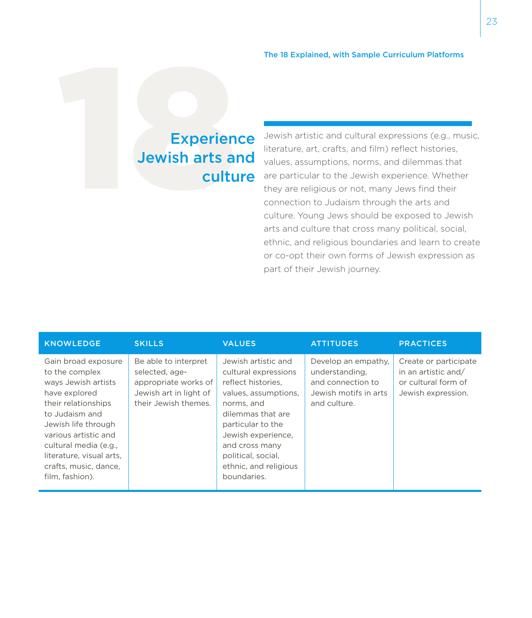# Experience<br>Jewish arts and<br>culture Jewish arts and culture

Jewish artistic and cultural expressions (e.g., music, literature, art, crafts, and film) reflect histories, values, assumptions, norms, and dilemmas that are particular to the Jewish experience. Whether they are religious or not, many Jews find their connection to Judaism through the arts and culture. Young Jews should be exposed to Jewish arts and culture that cross many political, social, ethnic, and religious boundaries and learn to create or co-opt their own forms of Jewish expression as part of their Jewish journey.

| <b>KNOWLEDGE</b>                                                                                                                                                                                                                                                       | <b>SKILLS</b>                                                                                                    | <b>VALUES</b>                                                                                                                                                                                                                                           | <b>ATTITUDES</b>                                                                                    | <b>PRACTICES</b>                                                                          |
|------------------------------------------------------------------------------------------------------------------------------------------------------------------------------------------------------------------------------------------------------------------------|------------------------------------------------------------------------------------------------------------------|---------------------------------------------------------------------------------------------------------------------------------------------------------------------------------------------------------------------------------------------------------|-----------------------------------------------------------------------------------------------------|-------------------------------------------------------------------------------------------|
| Gain broad exposure<br>to the complex<br>ways Jewish artists<br>have explored<br>their relationships<br>to Judaism and<br>Jewish life through<br>various artistic and<br>cultural media (e.g.,<br>literature, visual arts,<br>crafts, music, dance,<br>film, fashion). | Be able to interpret<br>selected, age-<br>appropriate works of<br>Jewish art in light of<br>their Jewish themes. | Jewish artistic and<br>cultural expressions<br>reflect histories.<br>values, assumptions,<br>norms, and<br>dilemmas that are<br>particular to the<br>Jewish experience,<br>and cross many<br>political, social,<br>ethnic, and religious<br>boundaries. | Develop an empathy.<br>understanding,<br>and connection to<br>Jewish motifs in arts<br>and culture. | Create or participate<br>in an artistic and/<br>or cultural form of<br>Jewish expression. |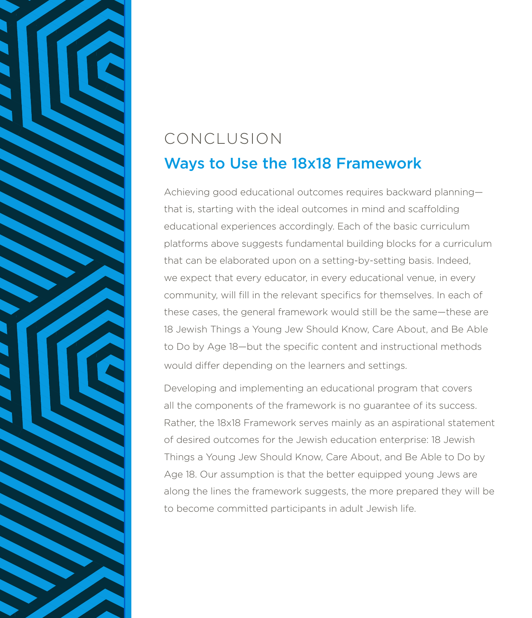#### CONCLUSION Ways to Use the 18x18 Framework

Achieving good educational outcomes requires backward planning that is, starting with the ideal outcomes in mind and scaffolding educational experiences accordingly. Each of the basic curriculum platforms above suggests fundamental building blocks for a curriculum that can be elaborated upon on a setting-by-setting basis. Indeed, we expect that every educator, in every educational venue, in every community, will fill in the relevant specifics for themselves. In each of these cases, the general framework would still be the same—these are 18 Jewish Things a Young Jew Should Know, Care About, and Be Able to Do by Age 18—but the specific content and instructional methods would differ depending on the learners and settings.

Developing and implementing an educational program that covers all the components of the framework is no guarantee of its success. Rather, the 18x18 Framework serves mainly as an aspirational statement of desired outcomes for the Jewish education enterprise: 18 Jewish Things a Young Jew Should Know, Care About, and Be Able to Do by Age 18. Our assumption is that the better equipped young Jews are along the lines the framework suggests, the more prepared they will be to become committed participants in adult Jewish life.

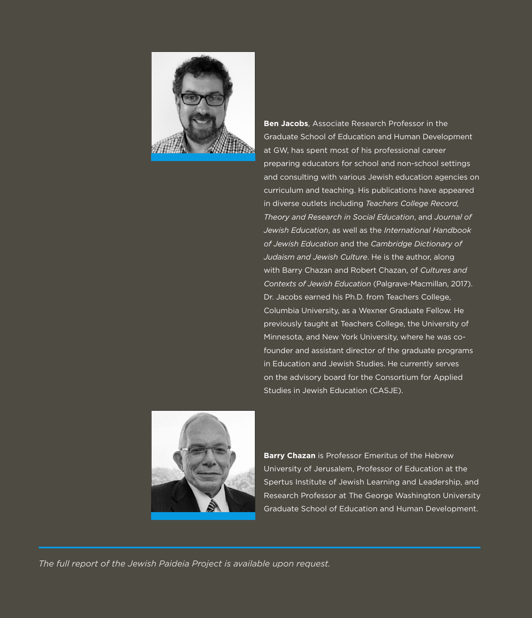

**Ben Jacobs**, Associate Research Professor in the Graduate School of Education and Human Development at GW, has spent most of his professional career preparing educators for school and non-school settings and consulting with various Jewish education agencies on curriculum and teaching. His publications have appeared in diverse outlets including *Teachers College Record, Theory and Research in Social Education*, and *Journal of Jewish Education*, as well as the *International Handbook of Jewish Education* and the *Cambridge Dictionary of Judaism and Jewish Culture*. He is the author, along with Barry Chazan and Robert Chazan, of *Cultures and Contexts of Jewish Education* (Palgrave-Macmillan, 2017). Dr. Jacobs earned his Ph.D. from Teachers College, Columbia University, as a Wexner Graduate Fellow. He previously taught at Teachers College, the University of Minnesota, and New York University, where he was cofounder and assistant director of the graduate programs in Education and Jewish Studies. He currently serves on the advisory board for the Consortium for Applied Studies in Jewish Education (CASJE).



**Barry Chazan** is Professor Emeritus of the Hebrew University of Jerusalem, Professor of Education at the Spertus Institute of Jewish Learning and Leadership, and Research Professor at The George Washington University Graduate School of Education and Human Development.

*The full report of the Jewish Paideia Project is available upon request.*